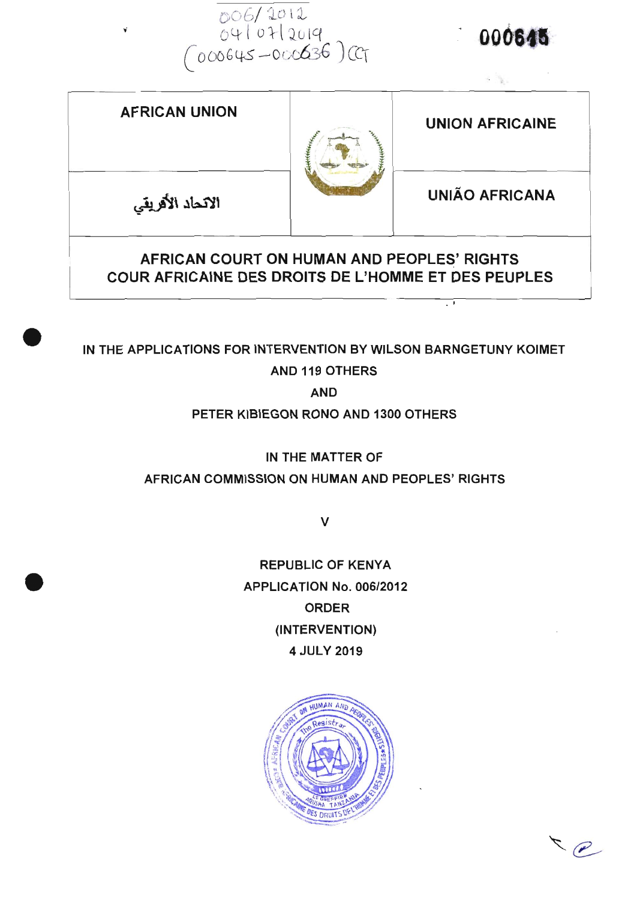006/2012<br>04/07/2019<br>(000645-000036)CT

000645

나는 일부터 아이들이 아니다.

 $\overline{\cdot}$ 

| <b>AFRICAN UNION</b> |  | <b>UNION AFRICAINE</b> |
|----------------------|--|------------------------|
| الاتحاد الأفريقي     |  | <b>UNIÃO AFRICANA</b>  |
|                      |  |                        |

# COUR AFRICAINE DES DROITS DE L'HOMME ET DES PEUPLES

## IN THE APPLICATIONS FOR INTERVENTION BY WILSON BARNGETUNY KOIMET

#### **AND 119 OTHERS**

**AND** 

PETER KIBIEGON RONO AND 1300 OTHERS

IN THE MATTER OF

#### AFRICAN COMMISSION ON HUMAN AND PEOPLES' RIGHTS

 $\vee$ 

**REPUBLIC OF KENYA** APPLICATION No. 006/2012 **ORDER** (INTERVENTION) 4 JULY 2019



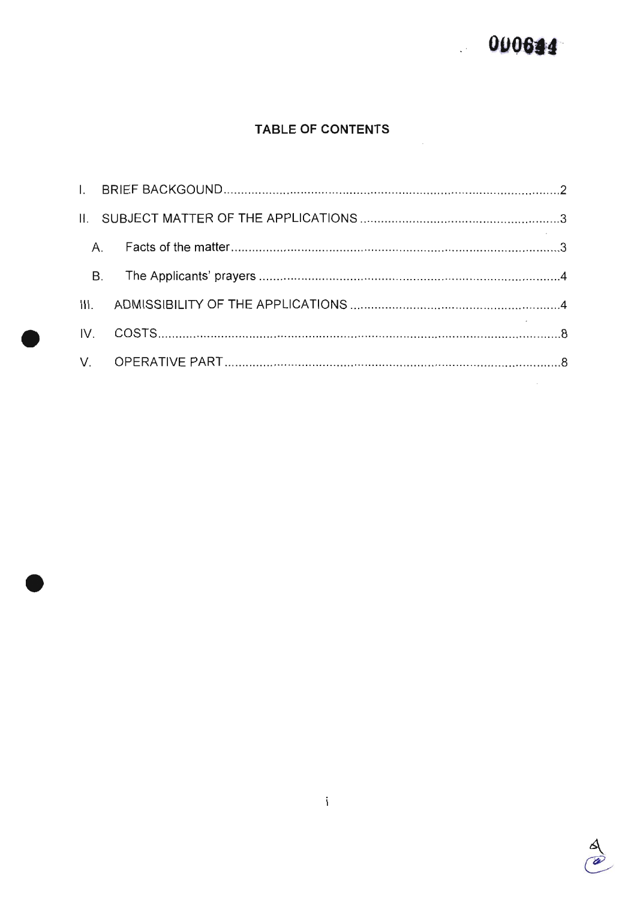## 000644

#### TABLE OF CONTENTS

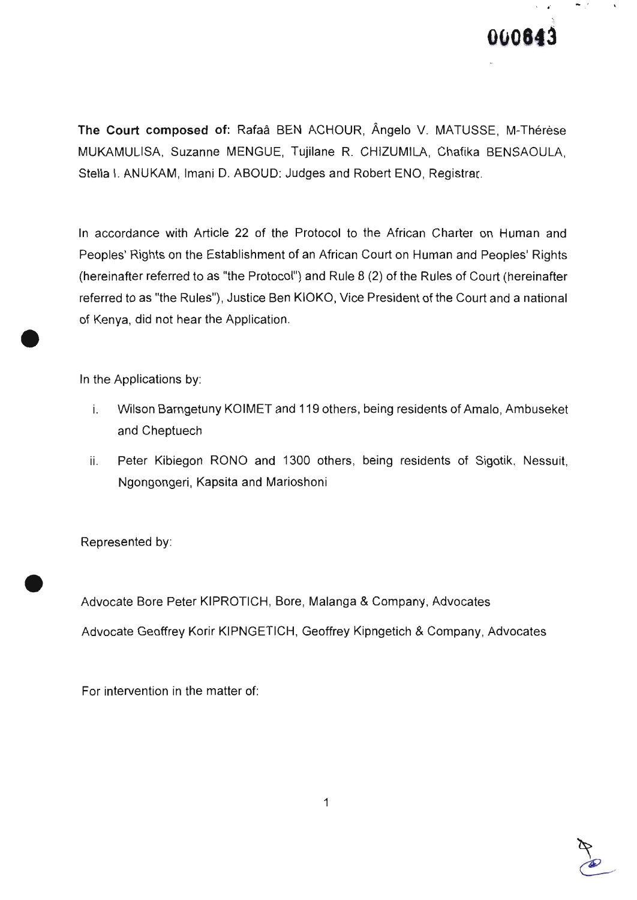

The Court composed of: Rafaa BEN ACHOUR, Angelo V. MATUSSE, M-Thérèse MUKAMULISA, Suzanne MENGUE, Tujilane R. CHIZUMILA, Chafika BENSAOULA, Stella l. ANUKAM, lmani D. ABOUD: Judges and Robert ENO, Registrar.

ln accordance with Article 22 of the Protocol to the African Charter on Human and Peoples' Rights on the Establishment of an African Court on Human and Peoples' Rights (hereinafter referred to as "the Protocol") and Rule 8 (2) of the Rules of Court (hereinafter referred to as "the Rules"), Justice Ben KIOKO, Vice President of the Court and a national of Kenya, did not hear the Application.

ln the Applications by

o

o

- i. wilson Barngetuny KoIMET and 119 others, being residents of Amalo, Ambuseket and Cheptuech
- Peter Kibiegon RONO and 1300 others, being residents of Sigotik, Nessuit, Ngongongeri, Kapsita and Marioshoni ii.

Represented by

Advocate Bore Peter KIPROTICH, Bore, Malanga & Company, Advocates Advocate Geoffrey Korir KIPNGETIcH, Geoffrey Kipngetich & company, Advocates

For intervention in the matter of

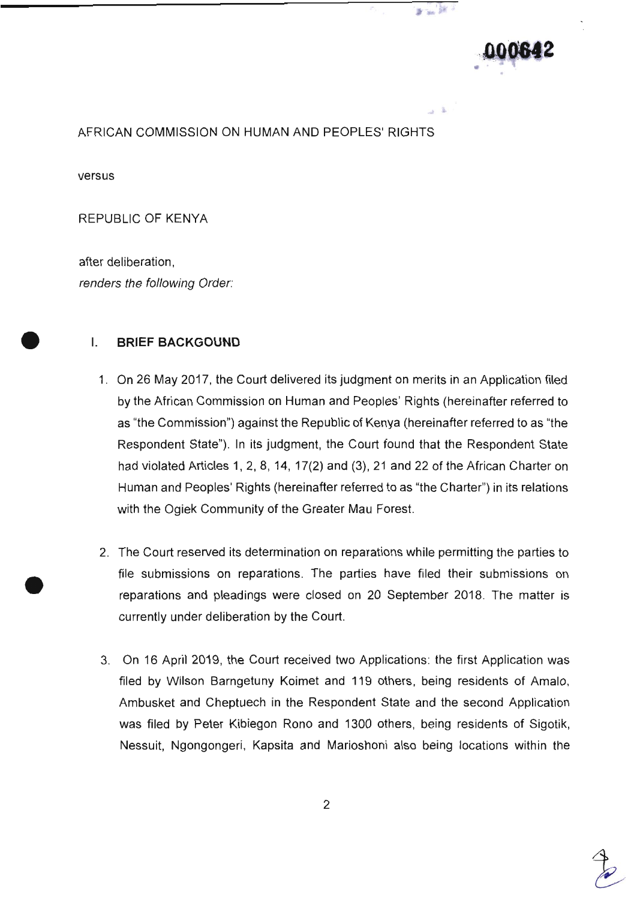

 $\frac{1}{2}$  ,  $\frac{1}{2}$  ,  $\frac{1}{2}$  ,  $\frac{1}{2}$ 

永

#### AFRICAN COMMISSION ON HUMAN AND PEOPLES' RIGHTS

versus

o

REPUBLIC OF KENYA

after deliberation, renders the following Order:

#### **I. BRIEF BACKGOUND**

- 1' On 26 May 2017, the Court delivered its judgment on merits in an Application filed by the African Commission on Human and Peoples' Rights (hereinafter referred to as "the Commission") against the Republic of Kenya (hereinafter referred to as "the Respondent State"). In its judgment, the Court found that the Respondent State had violated Articles 1, 2, 8, 14, 17(2) and (3), 21 and 22 of the African Charter on Human and Peoples' Rights (hereinafter referred to as "the Charter") in its relations with the Ogiek Community of the Greater Mau Forest.
- 2. The Court reserved its determination on reparations while permitting the parties to file submissions on reparations. The parties have filed their submissions on reparations and pleadings were closed on 20 september 201g. The matter is currently under deliberation by the Court.
- 3. On 16 April 2019, the Court received two Applications: the first Application was filed by wilson Barngetuny Koimet and 119 others, being residents of Amalo, Ambusket and cheptuech in the Respondent State and the second Application was filed by Peter Kibiegon Rono and 1300 others, being residents of sigotik, Nessuit, Ngongongeri, Kapsita and Marioshoni also being locations within the

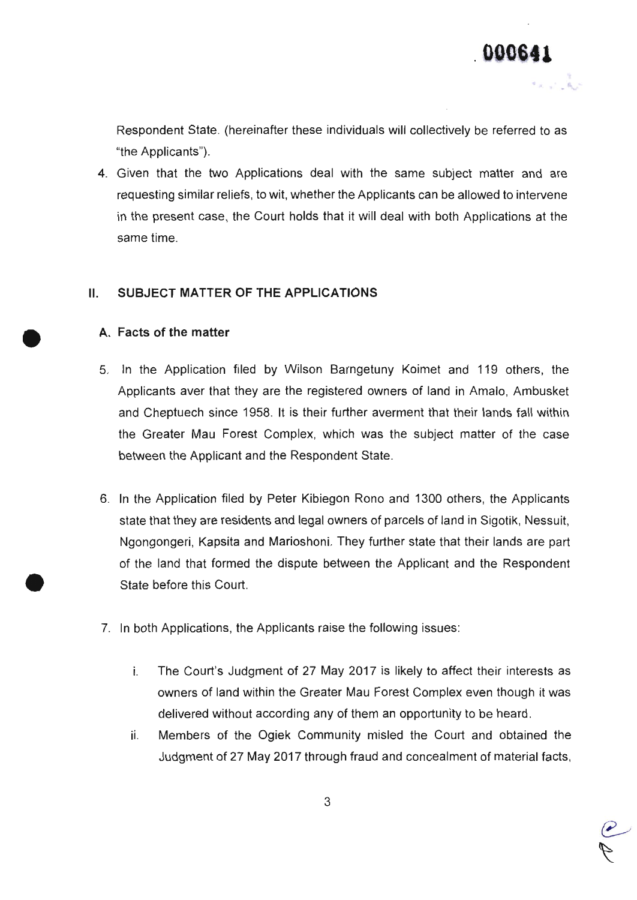$\overline{P}$ 

Respondent State. (hereinafter these individuals will collectively be referred to as "the Applicants").

4. Given that the two Applications deal with the same subject matter and are requesting similar reliefs, to wit, whether the Applicants can be allowed to intervene in the present case, the Court holds that it will deal with both Applications at the same time.

#### II. SUBJECT MATTER OF THE APPLICATIONS

#### A. Facts of the matter

o

o

- 5. ln the Application filed by wilson Barngetuny Koimet and 119 others, the Applicants aver that they are the registered owners of land in Amalo, Ambusket and Cheptuech since 1958. lt is their further averment that their lands fallwithin the Greater Mau Forest complex, which was the subject matter of the case between the Applicant and the Respondent State.
- 6. ln the Application filed by Peter Kibiegon Rono and 1300 others, the Appticants state that they are residents and legal owners of parcels of land in Sigotik, Nessuit, Ngongongeri, Kapsita and Marioshoni. They further state that their lands are part of the land that formed the dispute between the Applicant and the Respondent State before this Court.
- 7. ln both Applications, the Applicants raise the following issues
	- The Court's Judgment of 27 May 2017 is likely to affect their interests as ì. owners of land within the Greater Mau Forest complex even though it was delivered without according any of them an opportunity to be heard.
	- Members of the ogiek community misled the court and obtained the ii. Judgment of 27 May 2017 through fraud and concealment of material facts,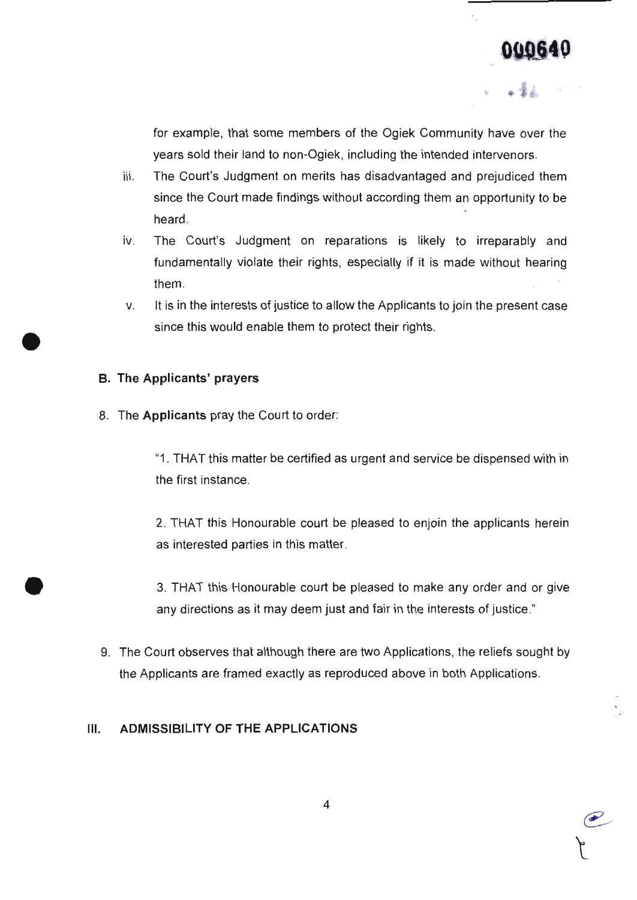e-

+ l

for example, that some members of the ogiek community have over the years sold their land to non-Ogiek, including the intended intervenors.

- iii. The court's Judgment on merits has disadvantaged and prejudiced them since the court made findings without according them an opportunity to be heard.
- iv. The Court's Judgment on reparations is likely to irreparably and fundamentally violate their rights, especially if it is made without hearing them
- It is in the interests of justice to allow the Applicants to join the present case since this would enable them to protect their rights. V

#### B. The Applicants' prayers

o

o

8. The Applicants pray the Court to order:

"1. THAT this matter be certified as urgent and service be dispensed with in the first instance

2. THAT this Honourable court be pleased to enjoin the applicants herein as interested parties in this matter.

3. THAT this Honourable court be pleased to make any order and or give any directions as it may deem just and fair in the interests of justice."

9. The Court observes that although there are two Applications, the reliefs sought by the Applicants are framed exacfly as reproduced above in both Applications.

#### III. ADMISSIBILITY OF THE APPLIGATIONS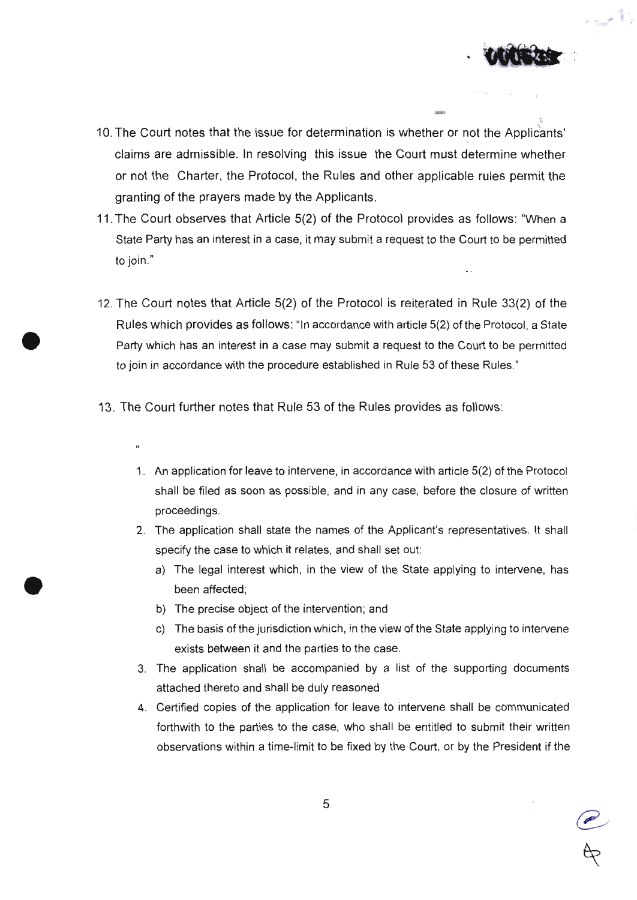

castes

 $\sim$ 

- 10. The Court notes that the issue for determination is whether or not the Applicants' claims are admissible. ln resolving this issue the Court must determine whether or not the charter, the Protocol, the Rules and other applicable rules permit the granting of the prayers made by the Applicants.
- 11. The Court observes that Article 5(2) of the Protocol provides as follows: "When a State Party has an interest in a case, it may submit a request to the Court to be permitted to join."
- 12. The Court notes that Article 5(2) of the Protocol is reiterated in Rute 33(2) of the Rules which provides as follows: "ln accordance with article 5(2) of the protocol, a State Party which has an interest in a case may submit a request to the Court to be permitted to join in accordance with the procedure established in Rule 53 of these Rules."
- 13. The court further notes that Rule 53 of the Rules provides as follows
	- $\alpha$

o

o

- 1. An application for leave to intervene, in accordance with article 5(2) of the protocol shall be filed as soon as possible, and in any case, before the closure of written proceedings.
- 2. The application shall state the names of the Applicant's representatives. lt shall specify the case to which it relates, and shall set out:
	- a) The legal interest which, in the view of the state applying to intervene, has been affected;
	- b) The precise object of the intervention; and
	- c) The basis of the jurisdiction which, in the view of the State applying to intervene exists between it and the parties to the case.
- 3. The application shall be accompanied by a list of the supporting documents attached thereto and shall be duly reasoned
- 4. certified copies of the application for leave to intervene shall be communicated forthwith to the parties to the case, who shall be entitled to submit their written observations within a time-limit to be fixed by the court, or by the president if the

@  $A$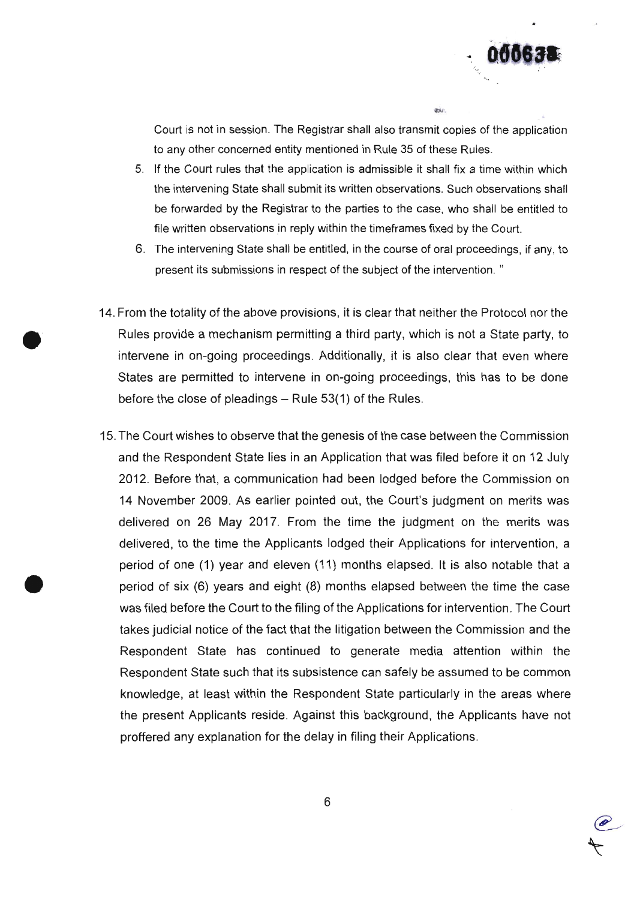

e-

 $\overline{a}$ 

Court is not in session. The Registrar shall also transmit copies of the application to any other concerned entity mentioned in Rule 35 of these Rules.

**JERP** 

- 5. lf the Court rules that the application is admissible it shall fix a time within which the intervening State shall submit its written observations. Such observations shall be forwarded by the Registrar to the parties to the case, who shall be entitled to file written observations in reply within the timeframes fixed by the court.
- 6. The intervening state shall be entitled, in the course of oral proceedings, if any, to present its submissions in respect of the subject of the intervention. "
- 14. From the totality of the above provisions, it is clear that neither the protocol nor the Rules provide a mechanism permitting a third party, which is not a state party, to intervene in on-going proceedings. Additionally, it is also clear that even where states are permitted to intervene in on-going proceedings, this has to be done before the close of pleadings  $-$  Rule 53(1) of the Rules.

o

o

15. The Court wishes to observe that the genesis of the case between the Commission and the Respondent State lies in an Application that was filed before it on 12 July 2012. Before that, a communication had been lodged before the commission on 14 November 2009. As earlier pointed out, the court's judgment on merits was delivered on 26 May 2017. From the time the judgment on the merits was delivered, to the time the Applicants lodged their Applications for intervention, a period of one (1) year and eleven (11) months elapsed. lt is also notable that a period of six (6) years and eight (8) months elapsed between the time the case was filed before the Court to the filing of the Applications for intervention. The Court takes judicial notice of the fact that the litigation between the Commission and the Respondent State has continued to generate media attention within the Respondent State such that its subsistence can safely be assumed to be common knowledge, at least within the Respondent State particularly in the areas where the present Applicants reside. Against this background, the Applicants have not proffered any explanation for the delay in filing their Applications.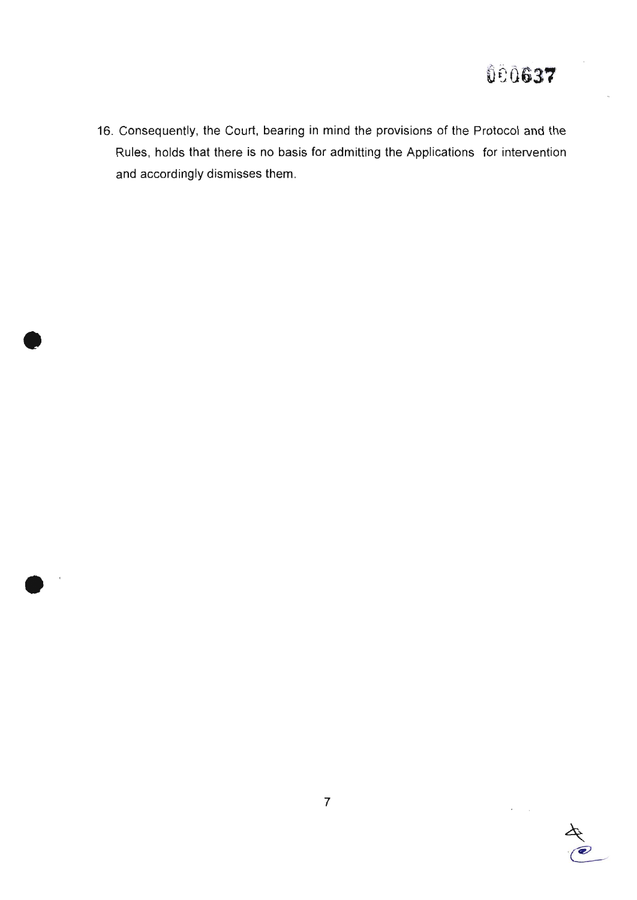16. Consequently, the Court, bearing in mind the provisions of the Protocol and the Rules, holds that there is no basis for admitting the Applications for intervention and accordingly dismisses them.